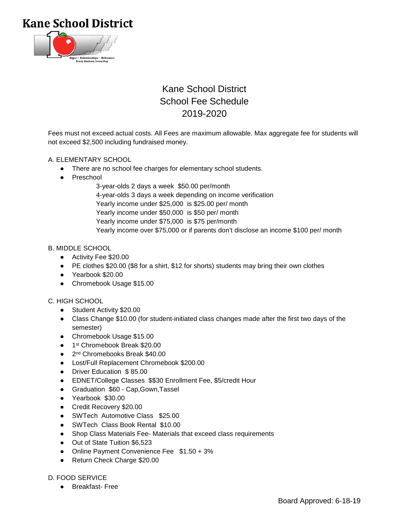**Kane School District** 



# Kane School District School Fee Schedule 2019-2020

Fees must not exceed actual costs. All Fees are maximum allowable. Max aggregate fee for students will not exceed \$2,500 including fundraised money.

### A. ELEMENTARY SCHOOL

- There are no school fee charges for elementary school students.
- Preschool
	- 3-year-olds 2 days a week \$50.00 per/month 4-year-olds 3 days a week depending on income verification Yearly income under \$25,000 is \$25.00 per/ month Yearly income under \$50,000 is \$50 per/ month Yearly income under \$75,000 is \$75 per/month Yearly income over \$75,000 or if parents don't disclose an income \$100 per/ month

### B. MIDDLE SCHOOL

- Activity Fee \$20.00
- PE clothes \$20.00 (\$8 for a shirt, \$12 for shorts) students may bring their own clothes
- Yearbook \$20.00
- Chromebook Usage \$15.00

#### C. HIGH SCHOOL

- Student Activity \$20.00
- Class Change \$10.00 (for student-initiated class changes made after the first two days of the semester)
- Chromebook Usage \$15.00
- 1<sup>st</sup> Chromebook Break \$20.00
- 2<sup>nd</sup> Chromebooks Break \$40.00
- Lost/Full Replacement Chromebook \$200.00
- Driver Education \$ 85.00
- EDNET/College Classes \$\$30 Enrollment Fee, \$5/credit Hour
- Graduation \$60 Cap,Gown,Tassel
- Yearbook \$30.00
- Credit Recovery \$20.00
- SWTech Automotive Class \$25.00
- SWTech Class Book Rental \$10.00
- Shop Class Materials Fee- Materials that exceed class requirements
- Out of State Tuition \$6,523
- Online Payment Convenience Fee \$1.50 + 3%
- Return Check Charge \$20.00

#### D. FOOD SERVICE

● Breakfast- Free